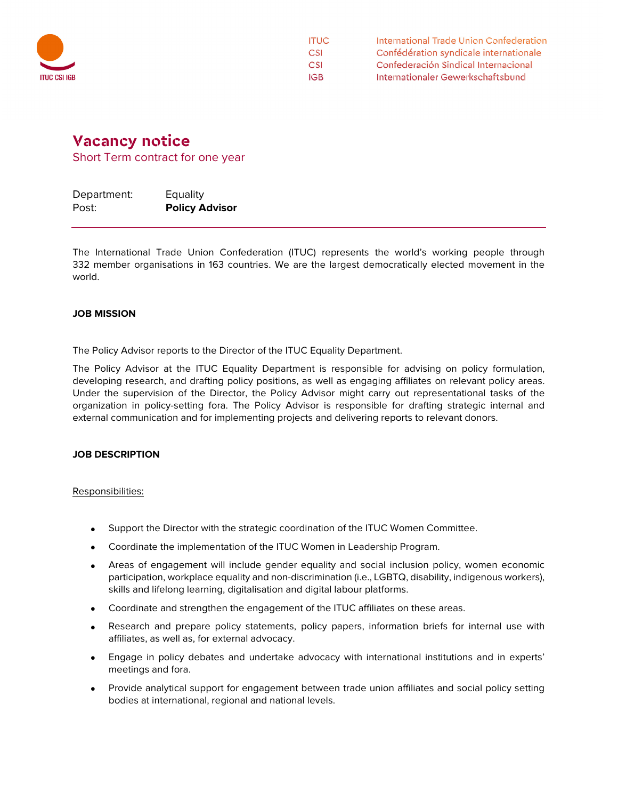

International Trade Union Confederation **ITUC** Confédération syndicale internationale **CSI CSI** Confederación Sindical Internacional Internationaler Gewerkschaftsbund **IGB** 

## **Vacancy notice**

Short Term contract for one year

| Department: | Equality              |
|-------------|-----------------------|
| Post:       | <b>Policy Advisor</b> |

The International Trade Union Confederation (ITUC) represents the world's working people through 332 member organisations in 163 countries. We are the largest democratically elected movement in the world.

## **JOB MISSION**

The Policy Advisor reports to the Director of the ITUC Equality Department.

The Policy Advisor at the ITUC Equality Department is responsible for advising on policy formulation, developing research, and drafting policy positions, as well as engaging affiliates on relevant policy areas. Under the supervision of the Director, the Policy Advisor might carry out representational tasks of the organization in policy-setting fora. The Policy Advisor is responsible for drafting strategic internal and external communication and for implementing projects and delivering reports to relevant donors.

## **JOB DESCRIPTION**

Responsibilities:

- Support the Director with the strategic coordination of the ITUC Women Committee.
- Coordinate the implementation of the ITUC Women in Leadership Program.
- Areas of engagement will include gender equality and social inclusion policy, women economic participation, workplace equality and non-discrimination (i.e., LGBTQ, disability, indigenous workers), skills and lifelong learning, digitalisation and digital labour platforms.
- Coordinate and strengthen the engagement of the ITUC affiliates on these areas.
- Research and prepare policy statements, policy papers, information briefs for internal use with affiliates, as well as, for external advocacy.
- Engage in policy debates and undertake advocacy with international institutions and in experts' meetings and fora.
- Provide analytical support for engagement between trade union affiliates and social policy setting bodies at international, regional and national levels.